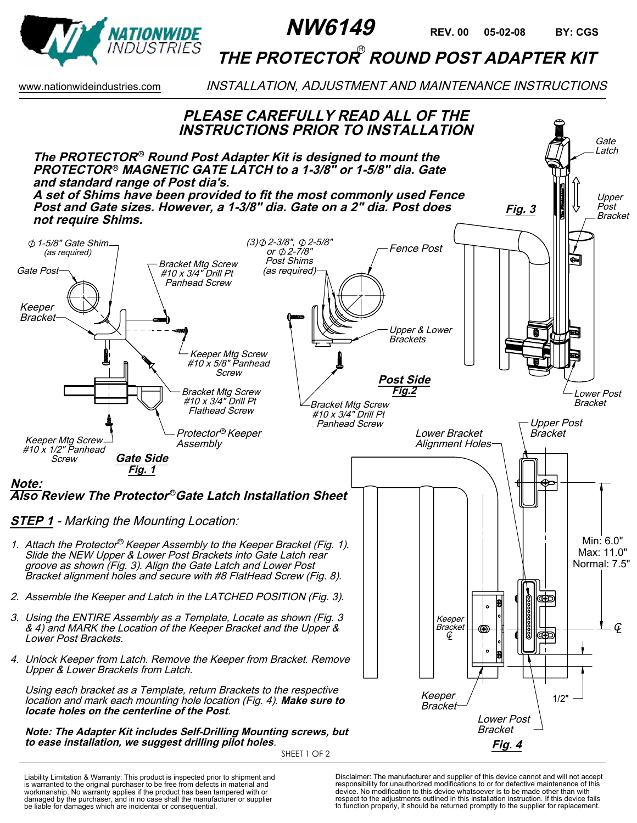

## THE PROTECTOR<sup>®</sup> ROUND POST ADAPTER KIT

www.nationwideindustries.com **INSTALLATION, ADJUSTMENT AND MAINTENANCE INSTRUCTIONS** 



Liability Limitation & Warranty: This product is inspected prior to shipment and is warranted to the original purchaser to be free from defects in material and workmanship. No warranty applies if the product has been tampered with or damaged by the purchaser, and in no case shall the manufacturer or supplier be liable for damages which are incidental or consequential.

Disclaimer: The manufacturer and supplier of this device cannot and will not accept responsibility for unauthorized modifications to or for defective maintenance of this device. No modification to this device whatsoever is to be made other than with respect to the adjustments outlined in this installation instruction. If this device fails to function properly, it should be returned promptly to the supplier for replacement.